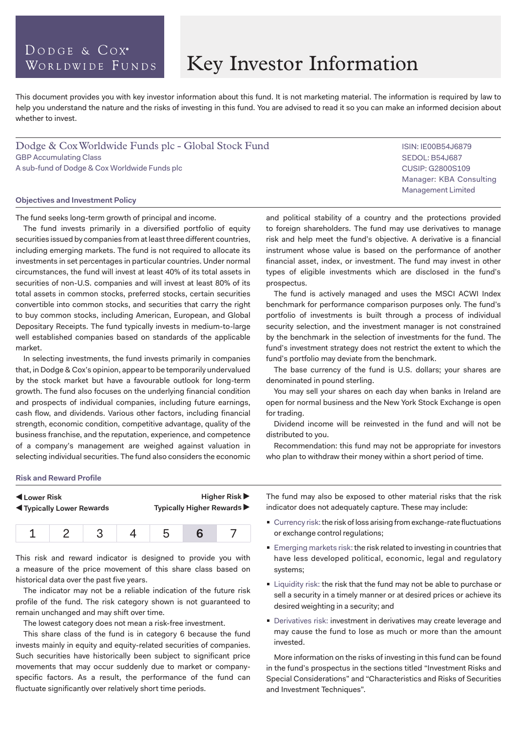### DODGE & COX<sup>®</sup> WORLDWIDE FUNDS

# Key Investor Information

This document provides you with key investor information about this fund. It is not marketing material. The information is required by law to help you understand the nature and the risks of investing in this fund. You are advised to read it so you can make an informed decision about whether to invest.

Dodge & Cox Worldwide Funds plc - Global Stock Fund GBP Accumulating Class A sub-fund of Dodge & Cox Worldwide Funds plc

#### **Objectives and Investment Policy**

The fund seeks long-term growth of principal and income.

The fund invests primarily in a diversified portfolio of equity securities issued by companies from at least three different countries, including emerging markets. The fund is not required to allocate its investments in set percentages in particular countries. Under normal circumstances, the fund will invest at least 40% of its total assets in securities of non-U.S. companies and will invest at least 80% of its total assets in common stocks, preferred stocks, certain securities convertible into common stocks, and securities that carry the right to buy common stocks, including American, European, and Global Depositary Receipts. The fund typically invests in medium-to-large well established companies based on standards of the applicable market.

In selecting investments, the fund invests primarily in companies that, in Dodge & Cox's opinion, appear to be temporarily undervalued by the stock market but have a favourable outlook for long-term growth. The fund also focuses on the underlying financial condition and prospects of individual companies, including future earnings, cash flow, and dividends. Various other factors, including financial strength, economic condition, competitive advantage, quality of the business franchise, and the reputation, experience, and competence of a company's management are weighed against valuation in selecting individual securities. The fund also considers the economic and political stability of a country and the protections provided to foreign shareholders. The fund may use derivatives to manage risk and help meet the fund's objective. A derivative is a financial instrument whose value is based on the performance of another financial asset, index, or investment. The fund may invest in other Manager: KBA Consulting Management Limited

prospectus. The fund is actively managed and uses the MSCI ACWI Index benchmark for performance comparison purposes only. The fund's portfolio of investments is built through a process of individual security selection, and the investment manager is not constrained by the benchmark in the selection of investments for the fund. The fund's investment strategy does not restrict the extent to which the fund's portfolio may deviate from the benchmark.

types of eligible investments which are disclosed in the fund's

The base currency of the fund is U.S. dollars; your shares are denominated in pound sterling.

You may sell your shares on each day when banks in Ireland are open for normal business and the New York Stock Exchange is open for trading.

Dividend income will be reinvested in the fund and will not be distributed to you.

Recommendation: this fund may not be appropriate for investors who plan to withdraw their money within a short period of time.

#### **Risk and Reward Profile**

| Lower Risk                         |  |  |  | <b>Higher Risk ▶</b>       |  |  |
|------------------------------------|--|--|--|----------------------------|--|--|
| <b>IVI</b> Typically Lower Rewards |  |  |  | Typically Higher Rewards ▶ |  |  |
|                                    |  |  |  |                            |  |  |

This risk and reward indicator is designed to provide you with a measure of the price movement of this share class based on historical data over the past five years.

The indicator may not be a reliable indication of the future risk profile of the fund. The risk category shown is not guaranteed to remain unchanged and may shift over time.

The lowest category does not mean a risk-free investment.

This share class of the fund is in category 6 because the fund invests mainly in equity and equity-related securities of companies. Such securities have historically been subject to significant price movements that may occur suddenly due to market or companyspecific factors. As a result, the performance of the fund can fluctuate significantly over relatively short time periods.

The fund may also be exposed to other material risks that the risk indicator does not adequately capture. These may include:

- Currency risk: the risk of loss arising from exchange-rate fluctuations or exchange control regulations;
- **Emerging markets risk: the risk related to investing in countries that** have less developed political, economic, legal and regulatory systems;
- **Example 1** Liquidity risk: the risk that the fund may not be able to purchase or sell a security in a timely manner or at desired prices or achieve its desired weighting in a security; and
- **Derivatives risk: investment in derivatives may create leverage and** may cause the fund to lose as much or more than the amount invested.

More information on the risks of investing in this fund can be found in the fund's prospectus in the sections titled "Investment Risks and Special Considerations" and "Characteristics and Risks of Securities and Investment Techniques".

ISIN: IE00B54J6879 SEDOL: B54J687 CUSIP: G2800S109